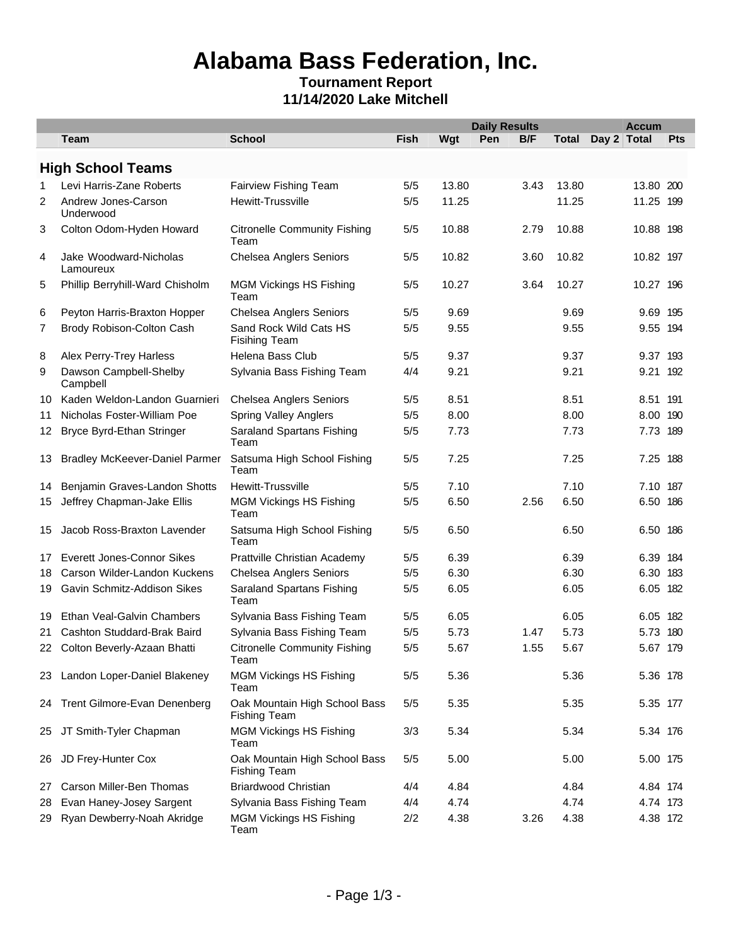## **Alabama Bass Federation, Inc.**

#### **Tournament Report 11/14/2020 Lake Mitchell**

|                |                                       |                                                      |             |       | <b>Daily Results</b> |      | <b>Accum</b> |             |     |
|----------------|---------------------------------------|------------------------------------------------------|-------------|-------|----------------------|------|--------------|-------------|-----|
|                | <b>Team</b>                           | <b>School</b>                                        | <b>Fish</b> | Wgt   | Pen                  | B/F  | <b>Total</b> | Day 2 Total | Pts |
|                | <b>High School Teams</b>              |                                                      |             |       |                      |      |              |             |     |
| 1              | Levi Harris-Zane Roberts              | Fairview Fishing Team                                | 5/5         | 13.80 |                      | 3.43 | 13.80        | 13.80 200   |     |
| 2              | Andrew Jones-Carson<br>Underwood      | <b>Hewitt-Trussville</b>                             | 5/5         | 11.25 |                      |      | 11.25        | 11.25 199   |     |
| 3              | Colton Odom-Hyden Howard              | <b>Citronelle Community Fishing</b><br>Team          | 5/5         | 10.88 |                      | 2.79 | 10.88        | 10.88 198   |     |
| 4              | Jake Woodward-Nicholas<br>Lamoureux   | <b>Chelsea Anglers Seniors</b>                       | 5/5         | 10.82 |                      | 3.60 | 10.82        | 10.82 197   |     |
| 5              | Phillip Berryhill-Ward Chisholm       | <b>MGM Vickings HS Fishing</b><br>Team               | 5/5         | 10.27 |                      | 3.64 | 10.27        | 10.27 196   |     |
| 6              | Peyton Harris-Braxton Hopper          | <b>Chelsea Anglers Seniors</b>                       | 5/5         | 9.69  |                      |      | 9.69         | 9.69 195    |     |
| $\overline{7}$ | Brody Robison-Colton Cash             | Sand Rock Wild Cats HS<br><b>Fisihing Team</b>       | 5/5         | 9.55  |                      |      | 9.55         | 9.55 194    |     |
| 8              | Alex Perry-Trey Harless               | Helena Bass Club                                     | 5/5         | 9.37  |                      |      | 9.37         | 9.37 193    |     |
| 9              | Dawson Campbell-Shelby<br>Campbell    | Sylvania Bass Fishing Team                           | 4/4         | 9.21  |                      |      | 9.21         | 9.21 192    |     |
| 10             | Kaden Weldon-Landon Guarnieri         | <b>Chelsea Anglers Seniors</b>                       | 5/5         | 8.51  |                      |      | 8.51         | 8.51 191    |     |
| 11             | Nicholas Foster-William Poe           | <b>Spring Valley Anglers</b>                         | 5/5         | 8.00  |                      |      | 8.00         | 8.00 190    |     |
| 12             | Bryce Byrd-Ethan Stringer             | Saraland Spartans Fishing<br>Team                    | 5/5         | 7.73  |                      |      | 7.73         | 7.73 189    |     |
| 13             | <b>Bradley McKeever-Daniel Parmer</b> | Satsuma High School Fishing<br>Team                  | 5/5         | 7.25  |                      |      | 7.25         | 7.25 188    |     |
| 14             | Benjamin Graves-Landon Shotts         | <b>Hewitt-Trussville</b>                             | 5/5         | 7.10  |                      |      | 7.10         | 7.10 187    |     |
| 15             | Jeffrey Chapman-Jake Ellis            | <b>MGM Vickings HS Fishing</b><br>Team               | 5/5         | 6.50  |                      | 2.56 | 6.50         | 6.50 186    |     |
| 15             | Jacob Ross-Braxton Lavender           | Satsuma High School Fishing<br>Team                  | 5/5         | 6.50  |                      |      | 6.50         | 6.50 186    |     |
| 17             | <b>Everett Jones-Connor Sikes</b>     | Prattville Christian Academy                         | 5/5         | 6.39  |                      |      | 6.39         | 6.39 184    |     |
| 18             | Carson Wilder-Landon Kuckens          | <b>Chelsea Anglers Seniors</b>                       | 5/5         | 6.30  |                      |      | 6.30         | 6.30 183    |     |
| 19             | Gavin Schmitz-Addison Sikes           | Saraland Spartans Fishing<br>Team                    | 5/5         | 6.05  |                      |      | 6.05         | 6.05 182    |     |
| 19             | Ethan Veal-Galvin Chambers            | Sylvania Bass Fishing Team                           | 5/5         | 6.05  |                      |      | 6.05         | 6.05 182    |     |
| 21             | Cashton Studdard-Brak Baird           | Sylvania Bass Fishing Team                           | 5/5         | 5.73  |                      | 1.47 | 5.73         | 5.73 180    |     |
| 22             | Colton Beverly-Azaan Bhatti           | <b>Citronelle Community Fishing</b><br>Team          | 5/5         | 5.67  |                      | 1.55 | 5.67         | 5.67 179    |     |
|                | 23 Landon Loper-Daniel Blakeney       | <b>MGM Vickings HS Fishing</b><br>Team               | 5/5         | 5.36  |                      |      | 5.36         | 5.36 178    |     |
|                | 24 Trent Gilmore-Evan Denenberg       | Oak Mountain High School Bass<br><b>Fishing Team</b> | 5/5         | 5.35  |                      |      | 5.35         | 5.35 177    |     |
| 25             | JT Smith-Tyler Chapman                | <b>MGM Vickings HS Fishing</b><br>Team               | 3/3         | 5.34  |                      |      | 5.34         | 5.34 176    |     |
| 26             | JD Frey-Hunter Cox                    | Oak Mountain High School Bass<br><b>Fishing Team</b> | 5/5         | 5.00  |                      |      | 5.00         | 5.00 175    |     |
| 27             | Carson Miller-Ben Thomas              | <b>Briardwood Christian</b>                          | 4/4         | 4.84  |                      |      | 4.84         | 4.84 174    |     |
| 28             | Evan Haney-Josey Sargent              | Sylvania Bass Fishing Team                           | 4/4         | 4.74  |                      |      | 4.74         | 4.74 173    |     |
| 29.            | Ryan Dewberry-Noah Akridge            | <b>MGM Vickings HS Fishing</b><br>Team               | 2/2         | 4.38  |                      | 3.26 | 4.38         | 4.38 172    |     |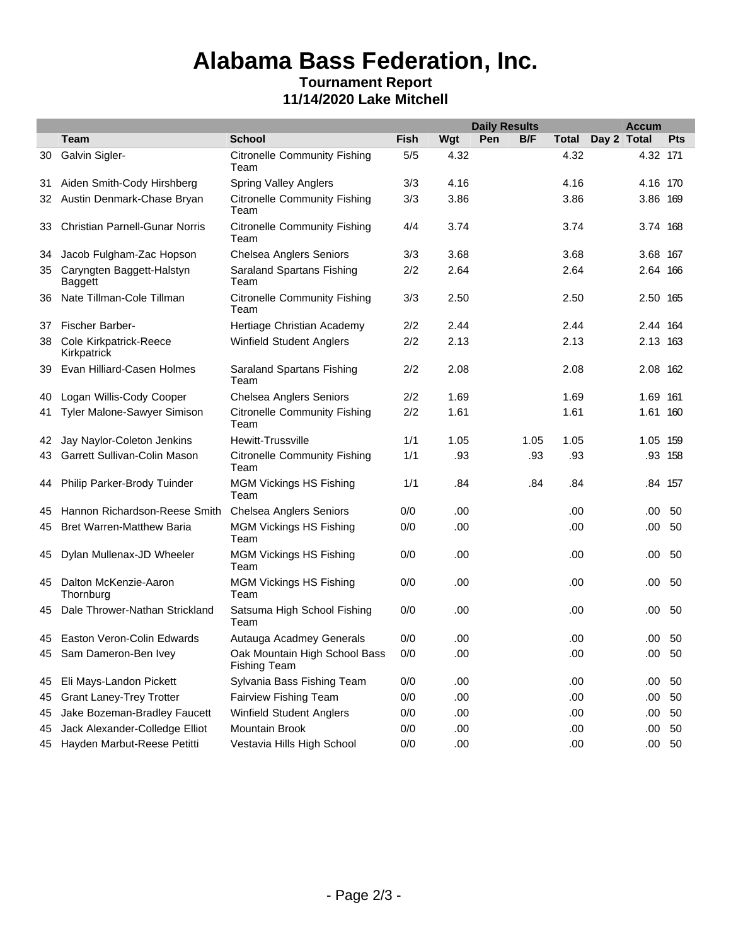# **Alabama Bass Federation, Inc.**

#### **Tournament Report 11/14/2020 Lake Mitchell**

|    |                                       |                                                      |             |      | <b>Daily Results</b> |      |       | <b>Accum</b> |          |            |
|----|---------------------------------------|------------------------------------------------------|-------------|------|----------------------|------|-------|--------------|----------|------------|
|    | Team                                  | <b>School</b>                                        | <b>Fish</b> | Wgt  | Pen                  | B/F  | Total | Day 2 Total  |          | <b>Pts</b> |
| 30 | Galvin Sigler-                        | <b>Citronelle Community Fishing</b><br>Team          | 5/5         | 4.32 |                      |      | 4.32  |              | 4.32 171 |            |
| 31 | Aiden Smith-Cody Hirshberg            | <b>Spring Valley Anglers</b>                         | 3/3         | 4.16 |                      |      | 4.16  |              | 4.16 170 |            |
| 32 | Austin Denmark-Chase Bryan            | <b>Citronelle Community Fishing</b><br>Team          | 3/3         | 3.86 |                      |      | 3.86  |              | 3.86 169 |            |
| 33 | <b>Christian Parnell-Gunar Norris</b> | <b>Citronelle Community Fishing</b><br>Team          | 4/4         | 3.74 |                      |      | 3.74  |              | 3.74 168 |            |
| 34 | Jacob Fulgham-Zac Hopson              | <b>Chelsea Anglers Seniors</b>                       | 3/3         | 3.68 |                      |      | 3.68  |              | 3.68 167 |            |
| 35 | Caryngten Baggett-Halstyn<br>Baggett  | Saraland Spartans Fishing<br>Team                    | 2/2         | 2.64 |                      |      | 2.64  |              | 2.64 166 |            |
| 36 | Nate Tillman-Cole Tillman             | <b>Citronelle Community Fishing</b><br>Team          | 3/3         | 2.50 |                      |      | 2.50  |              | 2.50 165 |            |
| 37 | <b>Fischer Barber-</b>                | Hertiage Christian Academy                           | 2/2         | 2.44 |                      |      | 2.44  |              | 2.44 164 |            |
| 38 | Cole Kirkpatrick-Reece<br>Kirkpatrick | <b>Winfield Student Anglers</b>                      | 2/2         | 2.13 |                      |      | 2.13  |              | 2.13 163 |            |
| 39 | Evan Hilliard-Casen Holmes            | Saraland Spartans Fishing<br>Team                    | 2/2         | 2.08 |                      |      | 2.08  |              | 2.08 162 |            |
| 40 | Logan Willis-Cody Cooper              | <b>Chelsea Anglers Seniors</b>                       | 2/2         | 1.69 |                      |      | 1.69  |              | 1.69 161 |            |
| 41 | Tyler Malone-Sawyer Simison           | <b>Citronelle Community Fishing</b><br>Team          | 2/2         | 1.61 |                      |      | 1.61  |              | 1.61 160 |            |
| 42 | Jay Naylor-Coleton Jenkins            | Hewitt-Trussville                                    | 1/1         | 1.05 |                      | 1.05 | 1.05  |              | 1.05 159 |            |
| 43 | Garrett Sullivan-Colin Mason          | <b>Citronelle Community Fishing</b><br>Team          | 1/1         | .93  |                      | .93  | .93   |              |          | .93 158    |
| 44 | Philip Parker-Brody Tuinder           | <b>MGM Vickings HS Fishing</b><br>Team               | 1/1         | .84  |                      | .84  | .84   |              |          | .84 157    |
| 45 | Hannon Richardson-Reese Smith         | <b>Chelsea Anglers Seniors</b>                       | 0/0         | .00  |                      |      | .00   |              | .00      | 50         |
| 45 | <b>Bret Warren-Matthew Baria</b>      | <b>MGM Vickings HS Fishing</b><br>Team               | 0/0         | .00  |                      |      | .00   |              | .00      | 50         |
| 45 | Dylan Mullenax-JD Wheeler             | <b>MGM Vickings HS Fishing</b><br>Team               | 0/0         | .00  |                      |      | .00   |              | .00      | -50        |
| 45 | Dalton McKenzie-Aaron<br>Thornburg    | <b>MGM Vickings HS Fishing</b><br>Team               | 0/0         | .00  |                      |      | .00   |              | .00      | 50         |
| 45 | Dale Thrower-Nathan Strickland        | Satsuma High School Fishing<br>Team                  | 0/0         | .00  |                      |      | .00   |              | .00      | 50         |
|    | 45 Easton Veron-Colin Edwards         | Autauga Acadmey Generals                             | 0/0         | .00  |                      |      | .00   |              | .00      | 50         |
|    | 45 Sam Dameron-Ben Ivey               | Oak Mountain High School Bass<br><b>Fishing Team</b> | 0/0         | .00  |                      |      | .00   |              | $.00\,$  | 50         |
| 45 | Eli Mays-Landon Pickett               | Sylvania Bass Fishing Team                           | 0/0         | .00. |                      |      | .00   |              |          | .00 50     |
| 45 | <b>Grant Laney-Trey Trotter</b>       | Fairview Fishing Team                                | 0/0         | .00  |                      |      | .00   |              | .00.     | 50         |
| 45 | Jake Bozeman-Bradley Faucett          | Winfield Student Anglers                             | 0/0         | .00  |                      |      | .00   |              | .00      | 50         |
| 45 | Jack Alexander-Colledge Elliot        | Mountain Brook                                       | 0/0         | .00  |                      |      | .00   |              | .00.     | 50         |
| 45 | Hayden Marbut-Reese Petitti           | Vestavia Hills High School                           | 0/0         | .00  |                      |      | .00   |              |          | $.00\ 50$  |